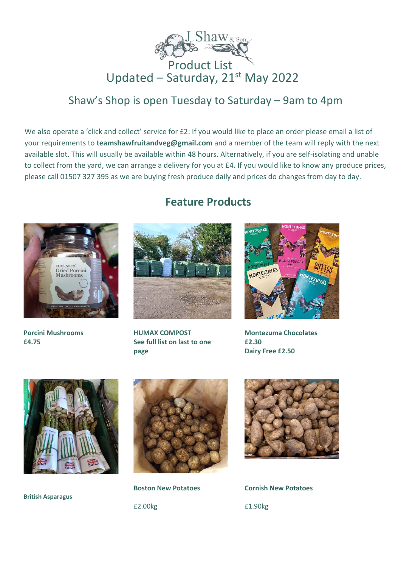

# Product List Updated – Saturday, 21<sup>st</sup> May 2022

# Shaw's Shop is open Tuesday to Saturday – 9am to 4pm

We also operate a 'click and collect' service for £2: If you would like to place an order please email a list of your requirements to **teamshawfruitandveg@gmail.com** and a member of the team will reply with the next available slot. This will usually be available within 48 hours. Alternatively, if you are self-isolating and unable to collect from the yard, we can arrange a delivery for you at £4. If you would like to know any produce prices, please call 01507 327 395 as we are buying fresh produce daily and prices do changes from day to day.



**Porcini Mushrooms £4.75** 

# **Feature Products**



**HUMAX COMPOST See full list on last to one page**



**Montezuma Chocolates £2.30 Dairy Free £2.50** 



**British Asparagus**



**Boston New Potatoes** £2.00kg



**Cornish New Potatoes** £1.90kg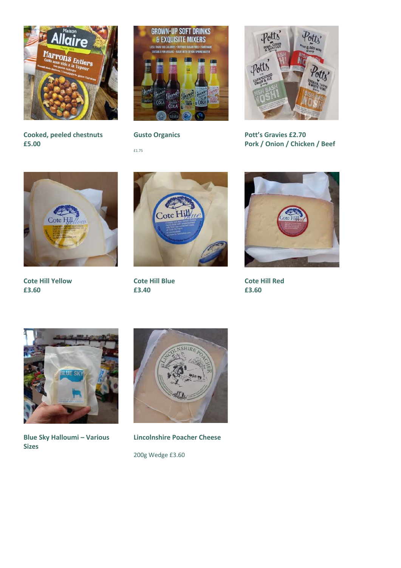

**Cooked, peeled chestnuts £5.00**



**Gusto Organics**

£1.75



**Pott's Gravies £2.70 Pork / Onion / Chicken / Beef**



**Cote Hill Yellow £3.60**



**Cote Hill Blue £3.40**



**Cote Hill Red £3.60**



**Blue Sky Halloumi – Various Sizes**



**Lincolnshire Poacher Cheese** 200g Wedge £3.60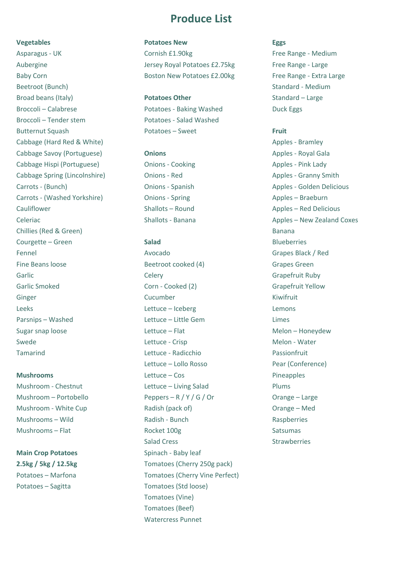**Vegetables** Asparagus - UK Aubergine Baby Corn Beetroot (Bunch) Broad beans (Italy) Broccoli – Calabrese Broccoli – Tender stem Butternut Squash Cabbage (Hard Red & White) Cabbage Savoy (Portuguese) Cabbage Hispi (Portuguese) Cabbage Spring (Lincolnshire) Carrots - (Bunch) Carrots - (Washed Yorkshire) Cauliflower Celeriac Chillies (Red & Green) Courgette – Green Fennel Fine Beans loose Garlic Garlic Smoked Ginger Leeks Parsnips – Washed Sugar snap loose Swede Tamarind

## **Mushrooms**

Mushroom - Chestnut Mushroom – Portobello Mushroom - White Cup Mushrooms – Wild Mushrooms – Flat

## **Main Crop Potatoes 2.5kg / 5kg / 12.5kg** Potatoes – Marfona Potatoes – Sagitta

# **Produce List**

## **Potatoes New**

Cornish £1.90kg Jersey Royal Potatoes £2.75kg Boston New Potatoes £2.00kg

## **Potatoes Other**

Potatoes - Baking Washed Potatoes - Salad Washed Potatoes – Sweet

### **Onions**

Onions - Cooking Onions - Red Onions - Spanish Onions - Spring Shallots – Round Shallots - Banana

## **Salad**

Avocado Beetroot cooked (4) Celery Corn - Cooked (2) Cucumber Lettuce – Iceberg Lettuce – Little Gem Lettuce – Flat Lettuce - Crisp Lettuce - Radicchio Lettuce – Lollo Rosso Lettuce – Cos Lettuce – Living Salad Peppers – R / Y / G / Or Radish (pack of) Radish - Bunch Rocket 100g Salad Cress Spinach - Baby leaf Tomatoes (Cherry 250g pack) Tomatoes (Cherry Vine Perfect) Tomatoes (Std loose) Tomatoes (Vine) Tomatoes (Beef) Watercress Punnet

#### **Eggs**

Free Range - Medium Free Range - Large Free Range - Extra Large Standard - Medium Standard – Large Duck Eggs

#### **Fruit**

Apples - Bramley Apples - Royal Gala Apples - Pink Lady Apples - Granny Smith Apples - Golden Delicious Apples – Braeburn Apples – Red Delicious Apples – New Zealand Coxes Banana **Blueberries** Grapes Black / Red Grapes Green Grapefruit Ruby Grapefruit Yellow Kiwifruit Lemons Limes Melon – Honeydew Melon - Water Passionfruit Pear (Conference) Pineapples Plums Orange – Large Orange – Med **Raspberries** Satsumas **Strawberries**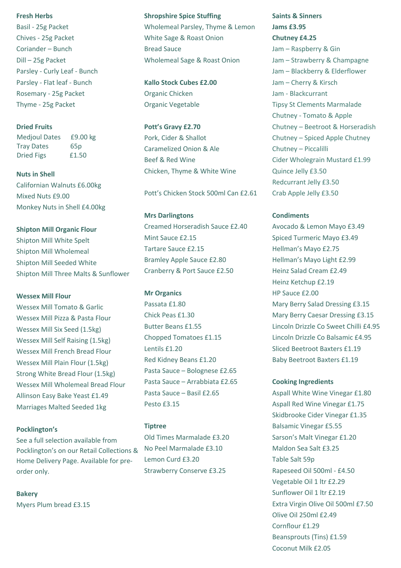#### **Fresh Herbs**

Basil - 25g Packet Chives - 25g Packet Coriander – Bunch Dill – 25g Packet Parsley - Curly Leaf - Bunch Parsley - Flat leaf - Bunch Rosemary - 25g Packet Thyme - 25g Packet

## **Dried Fruits**

 Medjoul Dates £9.00 kg Tray Dates 65p Dried Figs £1.50

**Nuts in Shell** Californian Walnuts £6.00kg

Mixed Nuts £9.00 Monkey Nuts in Shell £4.00kg

**Shipton Mill Organic Flour**  Shipton Mill White Spelt Shipton Mill Wholemeal Shipton Mill Seeded White Shipton Mill Three Malts & Sunflower

## **Wessex Mill Flour**

Wessex Mill Tomato & Garlic Wessex Mill Pizza & Pasta Flour Wessex Mill Six Seed (1.5kg) Wessex Mill Self Raising (1.5kg) Wessex Mill French Bread Flour Wessex Mill Plain Flour (1.5kg) Strong White Bread Flour (1.5kg) Wessex Mill Wholemeal Bread Flour Allinson Easy Bake Yeast £1.49 Marriages Malted Seeded 1kg

#### **Pocklington's**

See a full selection available from Pocklington's on our Retail Collections & Home Delivery Page. Available for preorder only.

**Bakery** Myers Plum bread £3.15

#### **Shropshire Spice Stuffing**

Wholemeal Parsley, Thyme & Lemon White Sage & Roast Onion Bread Sauce Wholemeal Sage & Roast Onion

**Kallo Stock Cubes £2.00** Organic Chicken Organic Vegetable

**Pott's Gravy £2.70** Pork, Cider & Shallot Caramelized Onion & Ale Beef & Red Wine Chicken, Thyme & White Wine

Pott's Chicken Stock 500ml Can £2.61

**Mrs Darlingtons** Creamed Horseradish Sauce £2.40 Mint Sauce £2.15 Tartare Sauce £2.15 Bramley Apple Sauce £2.80 Cranberry & Port Sauce £2.50

## **Mr Organics**

Passata £1.80 Chick Peas £1.30 Butter Beans £1.55 Chopped Tomatoes £1.15 Lentils £1.20 Red Kidney Beans £1.20 Pasta Sauce – Bolognese £2.65 Pasta Sauce – Arrabbiata £2.65 Pasta Sauce – Basil £2.65 Pesto £3.15

#### **Tiptree**

Old Times Marmalade £3.20 No Peel Marmalade £3.10 Lemon Curd £3.20 Strawberry Conserve £3.25

**Saints & Sinners Jams £3.95 Chutney £4.25** Jam – Raspberry & Gin Jam – Strawberry & Champagne Jam – Blackberry & Elderflower Jam – Cherry & Kirsch Jam - Blackcurrant Tipsy St Clements Marmalade Chutney - Tomato & Apple Chutney – Beetroot & Horseradish Chutney – Spiced Apple Chutney Chutney – Piccalilli Cider Wholegrain Mustard £1.99 Quince Jelly £3.50 Redcurrant Jelly £3.50 Crab Apple Jelly £3.50

#### **Condiments**

Avocado & Lemon Mayo £3.49 Spiced Turmeric Mayo £3.49 Hellman's Mayo £2.75 Hellman's Mayo Light £2.99 Heinz Salad Cream £2.49 Heinz Ketchup £2.19 HP Sauce £2.00 Mary Berry Salad Dressing £3.15 Mary Berry Caesar Dressing £3.15 Lincoln Drizzle Co Sweet Chilli £4.95 Lincoln Drizzle Co Balsamic £4.95 Sliced Beetroot Baxters £1.19 Baby Beetroot Baxters £1.19

## **Cooking Ingredients**

Aspall White Wine Vinegar £1.80 Aspall Red Wine Vinegar £1.75 Skidbrooke Cider Vinegar £1.35 Balsamic Vinegar £5.55 Sarson's Malt Vinegar £1.20 Maldon Sea Salt £3.25 Table Salt 59p Rapeseed Oil 500ml - £4.50 Vegetable Oil 1 ltr £2.29 Sunflower Oil 1 ltr £2.19 Extra Virgin Olive Oil 500ml £7.50 Olive Oil 250ml £2.49 Cornflour £1.29 Beansprouts (Tins) £1.59 Coconut Milk £2.05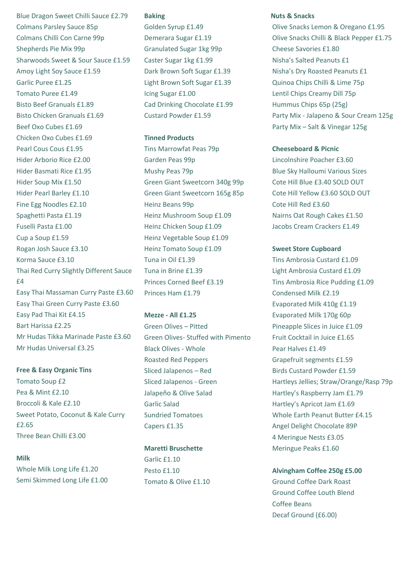Blue Dragon Sweet Chilli Sauce £2.79 Colmans Parsley Sauce 85p Colmans Chilli Con Carne 99p Shepherds Pie Mix 99p Sharwoods Sweet & Sour Sauce £1.59 Amoy Light Soy Sauce £1.59 Garlic Puree £1.25 Tomato Puree £1.49 Bisto Beef Granuals £1.89 Bisto Chicken Granuals £1.69 Beef Oxo Cubes £1.69 Chicken Oxo Cubes £1.69 Pearl Cous Cous £1.95 Hider Arborio Rice £2.00 Hider Basmati Rice £1.95 Hider Soup Mix £1.50 Hider Pearl Barley £1.10 Fine Egg Noodles £2.10 Spaghetti Pasta £1.19 Fuselli Pasta £1.00 Cup a Soup £1.59 Rogan Josh Sauce £3.10 Korma Sauce £3.10 Thai Red Curry Slightly Different Sauce £4 Easy Thai Massaman Curry Paste £3.60 Easy Thai Green Curry Paste £3.60 Easy Pad Thai Kit £4.15 Bart Harissa £2.25 Mr Hudas Tikka Marinade Paste £3.60 Mr Hudas Universal £3.25

#### **Free & Easy Organic Tins**

Tomato Soup £2 Pea & Mint £2.10 Broccoli & Kale £2.10 Sweet Potato, Coconut & Kale Curry £2.65 Three Bean Chilli £3.00

## **Milk**

Whole Milk Long Life £1.20 Semi Skimmed Long Life £1.00

#### **Baking**

Golden Syrup £1.49 Demerara Sugar £1.19 Granulated Sugar 1kg 99p Caster Sugar 1kg £1.99 Dark Brown Soft Sugar £1.39 Light Brown Soft Sugar £1.39 Icing Sugar £1.00 Cad Drinking Chocolate £1.99 Custard Powder £1.59

## **Tinned Products**

Tins Marrowfat Peas 79p Garden Peas 99p Mushy Peas 79p Green Giant Sweetcorn 340g 99p Green Giant Sweetcorn 165g 85p Heinz Beans 99p Heinz Mushroom Soup £1.09 Heinz Chicken Soup £1.09 Heinz Vegetable Soup £1.09 Heinz Tomato Soup £1.09 Tuna in Oil £1.39 Tuna in Brine £1.39 Princes Corned Beef £3.19 Princes Ham £1.79

## **Mezze - All £1.25**

Green Olives – Pitted Green Olives- Stuffed with Pimento Black Olives - Whole Roasted Red Peppers Sliced Jalapenos – Red Sliced Jalapenos - Green Jalapeño & Olive Salad Garlic Salad Sundried Tomatoes Capers £1.35

## **Maretti Bruschette**

Garlic £1.10 Pesto £1.10 Tomato & Olive £1.10

## **Nuts & Snacks**

Olive Snacks Lemon & Oregano £1.95 Olive Snacks Chilli & Black Pepper £1.75 Cheese Savories £1.80 Nisha's Salted Peanuts £1 Nisha's Dry Roasted Peanuts £1 Quinoa Chips Chilli & Lime 75p Lentil Chips Creamy Dill 75p Hummus Chips 65p (25g) Party Mix - Jalapeno & Sour Cream 125g Party Mix – Salt & Vinegar 125g

## **Cheeseboard & Picnic**

Lincolnshire Poacher £3.60 Blue Sky Halloumi Various Sizes Cote Hill Blue £3.40 SOLD OUT Cote Hill Yellow £3.60 SOLD OUT Cote Hill Red £3.60 Nairns Oat Rough Cakes £1.50 Jacobs Cream Crackers £1.49

## **Sweet Store Cupboard**

Tins Ambrosia Custard £1.09 Light Ambrosia Custard £1.09 Tins Ambrosia Rice Pudding £1.09 Condensed Milk £2.19 Evaporated Milk 410g £1.19 Evaporated Milk 170g 60p Pineapple Slices in Juice £1.09 Fruit Cocktail in Juice £1.65 Pear Halves £1.49 Grapefruit segments £1.59 Birds Custard Powder £1.59 Hartleys Jellies; Straw/Orange/Rasp 79p Hartley's Raspberry Jam £1.79 Hartley's Apricot Jam £1.69 Whole Earth Peanut Butter £4.15 Angel Delight Chocolate 89P 4 Meringue Nests £3.05 Meringue Peaks £1.60

## **Alvingham Coffee 250g £5.00**

Ground Coffee Dark Roast Ground Coffee Louth Blend Coffee Beans Decaf Ground (£6.00)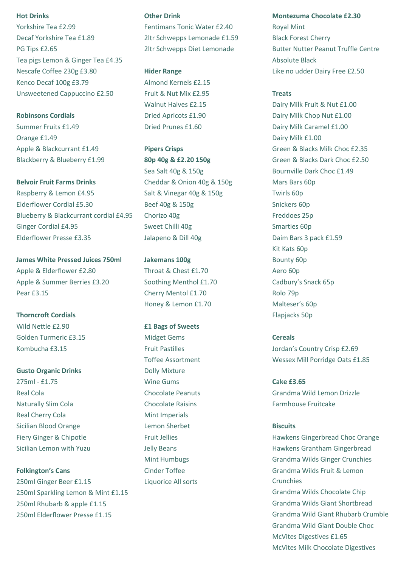#### **Hot Drinks**

Yorkshire Tea £2.99 Decaf Yorkshire Tea £1.89 PG Tips £2.65 Tea pigs Lemon & Ginger Tea £4.35 Nescafe Coffee 230g £3.80 Kenco Decaf 100g £3.79 Unsweetened Cappuccino £2.50

**Robinsons Cordials**  Summer Fruits £1.49 Orange £1.49 Apple & Blackcurrant £1.49 Blackberry & Blueberry £1.99

**Belvoir Fruit Farms Drinks** Raspberry & Lemon £4.95 Elderflower Cordial £5.30 Blueberry & Blackcurrant cordial £4.95 Ginger Cordial £4.95 Elderflower Presse £3.35

**James White Pressed Juices 750ml** Apple & Elderflower £2.80 Apple & Summer Berries £3.20 Pear £3.15

**Thorncroft Cordials** Wild Nettle £2.90 Golden Turmeric £3.15 Kombucha £3.15

**Gusto Organic Drinks** 275ml - £1.75 Real Cola Naturally Slim Cola Real Cherry Cola Sicilian Blood Orange Fiery Ginger & Chipotle Sicilian Lemon with Yuzu

**Folkington's Cans** 250ml Ginger Beer £1.15 250ml Sparkling Lemon & Mint £1.15 250ml Rhubarb & apple £1.15 250ml Elderflower Presse £1.15

#### **Other Drink**

Fentimans Tonic Water £2.40 2ltr Schwepps Lemonade £1.59 2ltr Schwepps Diet Lemonade

**Hider Range**

Almond Kernels £2.15 Fruit & Nut Mix £2.95 Walnut Halves £2.15 Dried Apricots £1.90 Dried Prunes £1.60

**Pipers Crisps 80p 40g & £2.20 150g** Sea Salt 40g & 150g Cheddar & Onion 40g & 150g Salt & Vinegar 40g & 150g Beef 40g & 150g Chorizo 40g Sweet Chilli 40g Jalapeno & Dill 40g

**Jakemans 100g** Throat & Chest £1.70 Soothing Menthol £1.70 Cherry Mentol £1.70 Honey & Lemon £1.70

**£1 Bags of Sweets** Midget Gems Fruit Pastilles Toffee Assortment Dolly Mixture Wine Gums Chocolate Peanuts Chocolate Raisins Mint Imperials Lemon Sherbet Fruit Jellies Jelly Beans Mint Humbugs Cinder Toffee Liquorice All sorts

**Montezuma Chocolate £2.30** Royal Mint Black Forest Cherry Butter Nutter Peanut Truffle Centre Absolute Black Like no udder Dairy Free £2.50

#### **Treats**

Dairy Milk Fruit & Nut £1.00 Dairy Milk Chop Nut £1.00 Dairy Milk Caramel £1.00 Dairy Milk £1.00 Green & Blacks Milk Choc £2.35 Green & Blacks Dark Choc £2.50 Bournville Dark Choc £1.49 Mars Bars 60p Twirls 60p Snickers 60p Freddoes 25p Smarties 60p Daim Bars 3 pack £1.59 Kit Kats 60p Bounty 60p Aero 60p Cadbury's Snack 65p Rolo 79p Malteser's 60p Flapjacks 50p

## **Cereals**

Jordan's Country Crisp £2.69 Wessex Mill Porridge Oats £1.85

**Cake £3.65** Grandma Wild Lemon Drizzle Farmhouse Fruitcake

## **Biscuits**

Hawkens Gingerbread Choc Orange Hawkens Grantham Gingerbread Grandma Wilds Ginger Crunchies Grandma Wilds Fruit & Lemon Crunchies Grandma Wilds Chocolate Chip Grandma Wilds Giant Shortbread Grandma Wild Giant Rhubarb Crumble Grandma Wild Giant Double Choc McVites Digestives £1.65 McVites Milk Chocolate Digestives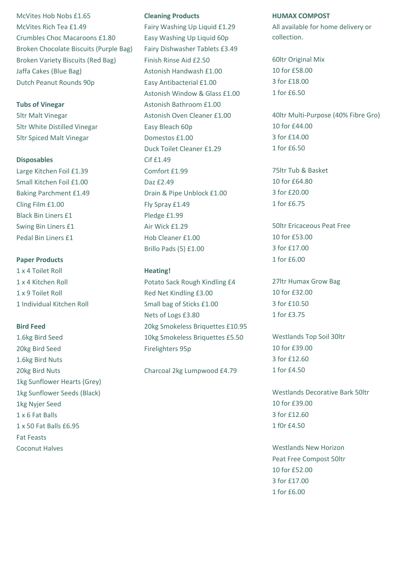McVites Hob Nobs £1.65 McVites Rich Tea £1.49 Crumbles Choc Macaroons £1.80 Broken Chocolate Biscuits (Purple Bag) Broken Variety Biscuits (Red Bag) Jaffa Cakes (Blue Bag) Dutch Peanut Rounds 90p

## **Tubs of Vinegar**

5ltr Malt Vinegar 5ltr White Distilled Vinegar 5ltr Spiced Malt Vinegar

## **Disposables**

Large Kitchen Foil £1.39 Small Kitchen Foil £1.00 Baking Parchment £1.49 Cling Film £1.00 Black Bin Liners £1 Swing Bin Liners £1 Pedal Bin Liners £1

## **Paper Products**

1 x 4 Toilet Roll 1 x 4 Kitchen Roll 1 x 9 Toilet Roll 1 Individual Kitchen Roll

## **Bird Feed**

1.6kg Bird Seed 20kg Bird Seed 1.6kg Bird Nuts 20kg Bird Nuts 1kg Sunflower Hearts (Grey) 1kg Sunflower Seeds (Black) 1kg Nyjer Seed 1 x 6 Fat Balls 1 x 50 Fat Balls £6.95 Fat Feasts Coconut Halves

## **Cleaning Products**

Fairy Washing Up Liquid £1.29 Easy Washing Up Liquid 60p Fairy Dishwasher Tablets £3.49 Finish Rinse Aid £2.50 Astonish Handwash £1.00 Easy Antibacterial £1.00 Astonish Window & Glass £1.00 Astonish Bathroom £1.00 Astonish Oven Cleaner £1.00 Easy Bleach 60p Domestos £1.00 Duck Toilet Cleaner £1.29 Cif £1.49 Comfort £1.99 Daz £2.49 Drain & Pipe Unblock £1.00 Fly Spray £1.49 Pledge £1.99 Air Wick £1.29 Hob Cleaner £1.00 Brillo Pads (5) £1.00

## **Heating!**

Potato Sack Rough Kindling £4 Red Net Kindling £3.00 Small bag of Sticks £1.00 Nets of Logs £3.80 20kg Smokeless Briquettes £10.95 10kg Smokeless Briquettes £5.50 Firelighters 95p

Charcoal 2kg Lumpwood £4.79

#### **HUMAX COMPOST**

All available for home delivery or collection.

60ltr Original Mix 10 for £58.00 3 for £18.00 1 for £6.50

40ltr Multi-Purpose (40% Fibre Gro) 10 for £44.00 3 for £14.00 1 for £6.50

75ltr Tub & Basket 10 for £64.80 3 for £20.00 1 for £6.75

50ltr Ericaceous Peat Free 10 for £53.00 3 for £17.00 1 for £6.00

27ltr Humax Grow Bag 10 for £32.00 3 for £10.50 1 for £3.75

Westlands Top Soil 30ltr 10 for £39.00 3 for £12.60 1 for £4.50

Westlands Decorative Bark 50ltr 10 for £39.00 3 for £12.60 1 f0r £4.50

Westlands New Horizon Peat Free Compost 50ltr 10 for £52.00 3 for £17.00 1 for £6.00